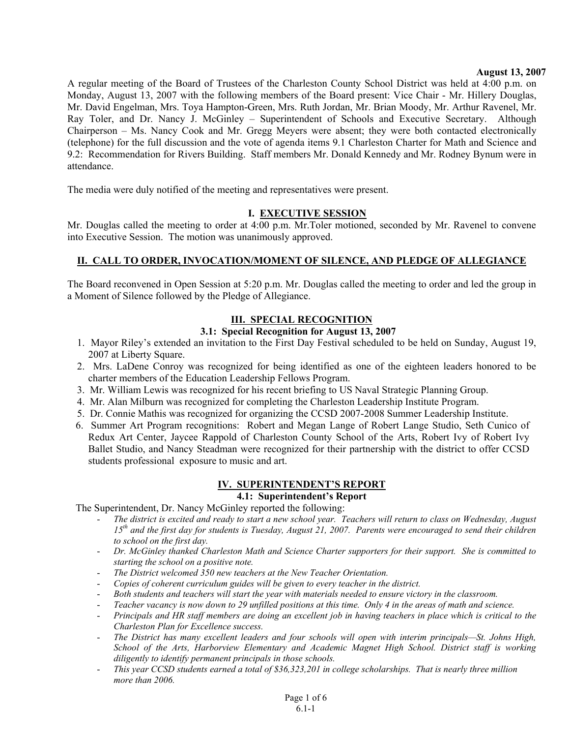#### **August 13, 2007**

A regular meeting of the Board of Trustees of the Charleston County School District was held at 4:00 p.m. on Monday, August 13, 2007 with the following members of the Board present: Vice Chair - Mr. Hillery Douglas, Mr. David Engelman, Mrs. Toya Hampton-Green, Mrs. Ruth Jordan, Mr. Brian Moody, Mr. Arthur Ravenel, Mr. Ray Toler, and Dr. Nancy J. McGinley – Superintendent of Schools and Executive Secretary. Although Chairperson – Ms. Nancy Cook and Mr. Gregg Meyers were absent; they were both contacted electronically (telephone) for the full discussion and the vote of agenda items 9.1 Charleston Charter for Math and Science and 9.2: Recommendation for Rivers Building. Staff members Mr. Donald Kennedy and Mr. Rodney Bynum were in attendance.

The media were duly notified of the meeting and representatives were present.

#### **I. EXECUTIVE SESSION**

Mr. Douglas called the meeting to order at 4:00 p.m. Mr.Toler motioned, seconded by Mr. Ravenel to convene into Executive Session. The motion was unanimously approved.

#### **II. CALL TO ORDER, INVOCATION/MOMENT OF SILENCE, AND PLEDGE OF ALLEGIANCE**

The Board reconvened in Open Session at 5:20 p.m. Mr. Douglas called the meeting to order and led the group in a Moment of Silence followed by the Pledge of Allegiance.

#### **III. SPECIAL RECOGNITION**

#### **3.1: Special Recognition for August 13, 2007**

- 1. Mayor Riley's extended an invitation to the First Day Festival scheduled to be held on Sunday, August 19, 2007 at Liberty Square.
- 2. Mrs. LaDene Conroy was recognized for being identified as one of the eighteen leaders honored to be charter members of the Education Leadership Fellows Program.
- 3. Mr. William Lewis was recognized for his recent briefing to US Naval Strategic Planning Group.
- 4. Mr. Alan Milburn was recognized for completing the Charleston Leadership Institute Program.
- 5. Dr. Connie Mathis was recognized for organizing the CCSD 2007-2008 Summer Leadership Institute.
- 6. Summer Art Program recognitions: Robert and Megan Lange of Robert Lange Studio, Seth Cunico of Redux Art Center, Jaycee Rappold of Charleston County School of the Arts, Robert Ivy of Robert Ivy Ballet Studio, and Nancy Steadman were recognized for their partnership with the district to offer CCSD students professional exposure to music and art.

# **IV. SUPERINTENDENT'S REPORT**

## **4.1: Superintendent's Report**

The Superintendent, Dr. Nancy McGinley reported the following:

- *The district is excited and ready to start a new school year. Teachers will return to class on Wednesday, August 15th and the first day for students is Tuesday, August 21, 2007. Parents were encouraged to send their children to school on the first day.*
- *Dr. McGinley thanked Charleston Math and Science Charter supporters for their support. She is committed to starting the school on a positive note.*
- *The District welcomed 350 new teachers at the New Teacher Orientation.*
- *Copies of coherent curriculum guides will be given to every teacher in the district.*
- *Both students and teachers will start the year with materials needed to ensure victory in the classroom.*
- *Teacher vacancy is now down to 29 unfilled positions at this time. Only 4 in the areas of math and science.*
- *Principals and HR staff members are doing an excellent job in having teachers in place which is critical to the Charleston Plan for Excellence success.*
- *The District has many excellent leaders and four schools will open with interim principals—St. Johns High, School of the Arts, Harborview Elementary and Academic Magnet High School. District staff is working diligently to identify permanent principals in those schools.*
- *This year CCSD students earned a total of \$36,323,201 in college scholarships. That is nearly three million more than 2006.*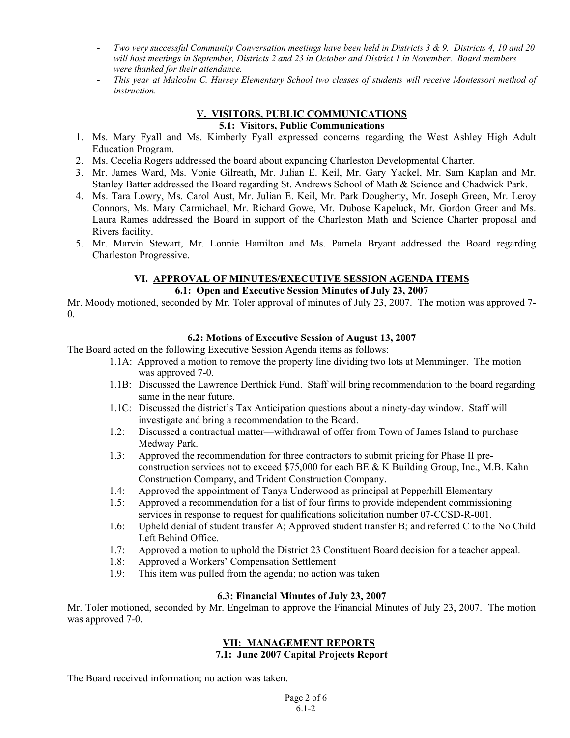- *Two very successful Community Conversation meetings have been held in Districts 3 & 9. Districts 4, 10 and 20 will host meetings in September, Districts 2 and 23 in October and District 1 in November. Board members were thanked for their attendance.*
- *This year at Malcolm C. Hursey Elementary School two classes of students will receive Montessori method of instruction.*

#### **V. VISITORS, PUBLIC COMMUNICATIONS 5.1: Visitors, Public Communications**

- 1. Ms. Mary Fyall and Ms. Kimberly Fyall expressed concerns regarding the West Ashley High Adult Education Program.
- 2. Ms. Cecelia Rogers addressed the board about expanding Charleston Developmental Charter.
- 3. Mr. James Ward, Ms. Vonie Gilreath, Mr. Julian E. Keil, Mr. Gary Yackel, Mr. Sam Kaplan and Mr. Stanley Batter addressed the Board regarding St. Andrews School of Math & Science and Chadwick Park.
- 4. Ms. Tara Lowry, Ms. Carol Aust, Mr. Julian E. Keil, Mr. Park Dougherty, Mr. Joseph Green, Mr. Leroy Connors, Ms. Mary Carmichael, Mr. Richard Gowe, Mr. Dubose Kapeluck, Mr. Gordon Greer and Ms. Laura Rames addressed the Board in support of the Charleston Math and Science Charter proposal and Rivers facility.
- 5. Mr. Marvin Stewart, Mr. Lonnie Hamilton and Ms. Pamela Bryant addressed the Board regarding Charleston Progressive.

## **VI. APPROVAL OF MINUTES/EXECUTIVE SESSION AGENDA ITEMS**

## **6.1: Open and Executive Session Minutes of July 23, 2007**

Mr. Moody motioned, seconded by Mr. Toler approval of minutes of July 23, 2007. The motion was approved 7-0.

## **6.2: Motions of Executive Session of August 13, 2007**

The Board acted on the following Executive Session Agenda items as follows:

- 1.1A: Approved a motion to remove the property line dividing two lots at Memminger. The motion was approved 7-0.
- 1.1B: Discussed the Lawrence Derthick Fund. Staff will bring recommendation to the board regarding same in the near future.
- 1.1C: Discussed the district's Tax Anticipation questions about a ninety-day window. Staff will investigate and bring a recommendation to the Board.
- 1.2: Discussed a contractual matter—withdrawal of offer from Town of James Island to purchase Medway Park.
- 1.3: Approved the recommendation for three contractors to submit pricing for Phase II preconstruction services not to exceed \$75,000 for each BE & K Building Group, Inc., M.B. Kahn Construction Company, and Trident Construction Company.
- 1.4: Approved the appointment of Tanya Underwood as principal at Pepperhill Elementary
- 1.5: Approved a recommendation for a list of four firms to provide independent commissioning services in response to request for qualifications solicitation number 07-CCSD-R-001.
- 1.6: Upheld denial of student transfer A; Approved student transfer B; and referred C to the No Child Left Behind Office.
- 1.7: Approved a motion to uphold the District 23 Constituent Board decision for a teacher appeal.
- 1.8: Approved a Workers' Compensation Settlement
- 1.9: This item was pulled from the agenda; no action was taken

## **6.3: Financial Minutes of July 23, 2007**

Mr. Toler motioned, seconded by Mr. Engelman to approve the Financial Minutes of July 23, 2007. The motion was approved 7-0.

## **VII: MANAGEMENT REPORTS**

**7.1: June 2007 Capital Projects Report** 

The Board received information; no action was taken.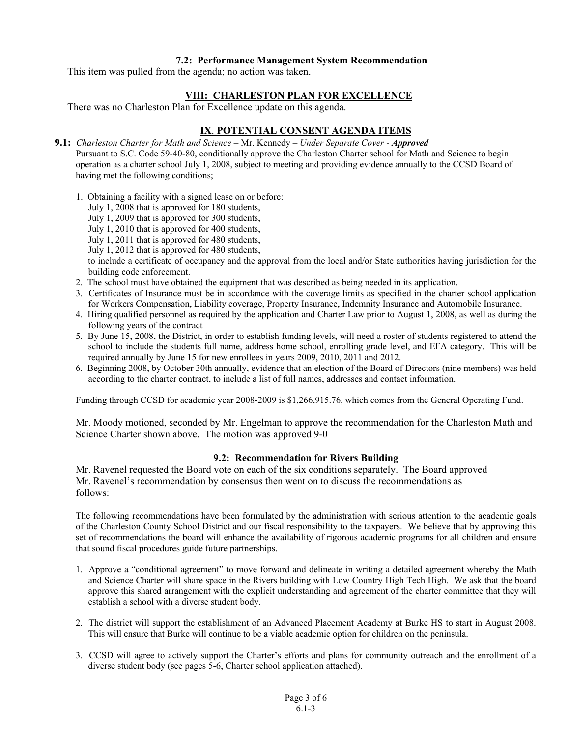#### **7.2: Performance Management System Recommendation**

This item was pulled from the agenda; no action was taken.

#### **VIII: CHARLESTON PLAN FOR EXCELLENCE**

There was no Charleston Plan for Excellence update on this agenda.

## **IX**. **POTENTIAL CONSENT AGENDA ITEMS**

- **9.1:** *Charleston Charter for Math and Science* Mr. Kennedy *Under Separate Cover Approved* Pursuant to S.C. Code 59-40-80, conditionally approve the Charleston Charter school for Math and Science to begin operation as a charter school July 1, 2008, subject to meeting and providing evidence annually to the CCSD Board of having met the following conditions;
	- 1. Obtaining a facility with a signed lease on or before:
		- July 1, 2008 that is approved for 180 students,
		- July 1, 2009 that is approved for 300 students,
		- July 1, 2010 that is approved for 400 students,
		- July 1, 2011 that is approved for 480 students,
		- July 1, 2012 that is approved for 480 students,

to include a certificate of occupancy and the approval from the local and/or State authorities having jurisdiction for the building code enforcement.

- 2. The school must have obtained the equipment that was described as being needed in its application.
- 3. Certificates of Insurance must be in accordance with the coverage limits as specified in the charter school application for Workers Compensation, Liability coverage, Property Insurance, Indemnity Insurance and Automobile Insurance.
- 4. Hiring qualified personnel as required by the application and Charter Law prior to August 1, 2008, as well as during the following years of the contract
- 5. By June 15, 2008, the District, in order to establish funding levels, will need a roster of students registered to attend the school to include the students full name, address home school, enrolling grade level, and EFA category. This will be required annually by June 15 for new enrollees in years 2009, 2010, 2011 and 2012.
- 6. Beginning 2008, by October 30th annually, evidence that an election of the Board of Directors (nine members) was held according to the charter contract, to include a list of full names, addresses and contact information.

Funding through CCSD for academic year 2008-2009 is \$1,266,915.76, which comes from the General Operating Fund.

Mr. Moody motioned, seconded by Mr. Engelman to approve the recommendation for the Charleston Math and Science Charter shown above. The motion was approved 9-0

#### **9.2: Recommendation for Rivers Building**

Mr. Ravenel requested the Board vote on each of the six conditions separately. The Board approved Mr. Ravenel's recommendation by consensus then went on to discuss the recommendations as follows:

The following recommendations have been formulated by the administration with serious attention to the academic goals of the Charleston County School District and our fiscal responsibility to the taxpayers. We believe that by approving this set of recommendations the board will enhance the availability of rigorous academic programs for all children and ensure that sound fiscal procedures guide future partnerships.

- 1. Approve a "conditional agreement" to move forward and delineate in writing a detailed agreement whereby the Math and Science Charter will share space in the Rivers building with Low Country High Tech High. We ask that the board approve this shared arrangement with the explicit understanding and agreement of the charter committee that they will establish a school with a diverse student body.
- 2. The district will support the establishment of an Advanced Placement Academy at Burke HS to start in August 2008. This will ensure that Burke will continue to be a viable academic option for children on the peninsula.
- 3. CCSD will agree to actively support the Charter's efforts and plans for community outreach and the enrollment of a diverse student body (see pages 5-6, Charter school application attached).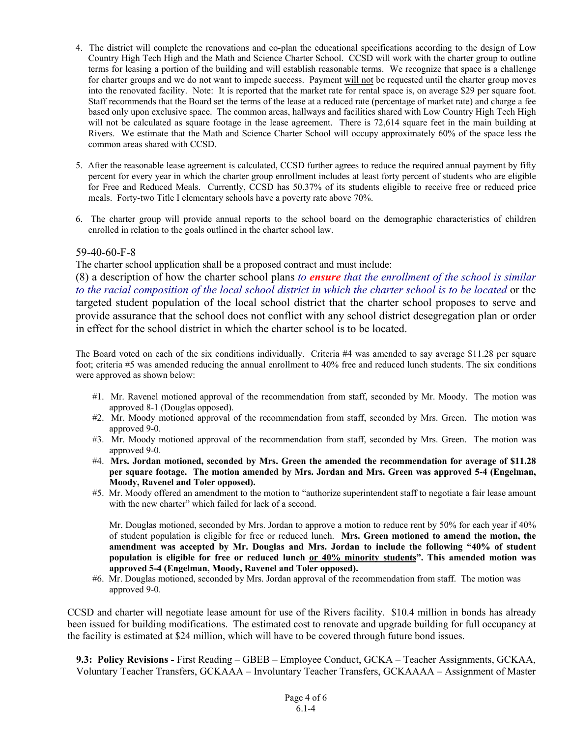- 4. The district will complete the renovations and co-plan the educational specifications according to the design of Low Country High Tech High and the Math and Science Charter School. CCSD will work with the charter group to outline terms for leasing a portion of the building and will establish reasonable terms. We recognize that space is a challenge for charter groups and we do not want to impede success. Payment will not be requested until the charter group moves into the renovated facility. Note: It is reported that the market rate for rental space is, on average \$29 per square foot. Staff recommends that the Board set the terms of the lease at a reduced rate (percentage of market rate) and charge a fee based only upon exclusive space. The common areas, hallways and facilities shared with Low Country High Tech High will not be calculated as square footage in the lease agreement. There is 72,614 square feet in the main building at Rivers. We estimate that the Math and Science Charter School will occupy approximately 60% of the space less the common areas shared with CCSD.
- 5. After the reasonable lease agreement is calculated, CCSD further agrees to reduce the required annual payment by fifty percent for every year in which the charter group enrollment includes at least forty percent of students who are eligible for Free and Reduced Meals. Currently, CCSD has 50.37% of its students eligible to receive free or reduced price meals. Forty-two Title I elementary schools have a poverty rate above 70%.
- 6. The charter group will provide annual reports to the school board on the demographic characteristics of children enrolled in relation to the goals outlined in the charter school law.

#### 59-40-60-F-8

The charter school application shall be a proposed contract and must include:

(8) a description of how the charter school plans *to ensure that the enrollment of the school is similar to the racial composition of the local school district in which the charter school is to be located* or the targeted student population of the local school district that the charter school proposes to serve and provide assurance that the school does not conflict with any school district desegregation plan or order in effect for the school district in which the charter school is to be located.

The Board voted on each of the six conditions individually. Criteria #4 was amended to say average \$11.28 per square foot; criteria #5 was amended reducing the annual enrollment to 40% free and reduced lunch students. The six conditions were approved as shown below:

- #1. Mr. Ravenel motioned approval of the recommendation from staff, seconded by Mr. Moody. The motion was approved 8-1 (Douglas opposed).
- #2. Mr. Moody motioned approval of the recommendation from staff, seconded by Mrs. Green. The motion was approved 9-0.
- #3. Mr. Moody motioned approval of the recommendation from staff, seconded by Mrs. Green. The motion was approved 9-0.
- #4. **Mrs. Jordan motioned, seconded by Mrs. Green the amended the recommendation for average of \$11.28 per square footage. The motion amended by Mrs. Jordan and Mrs. Green was approved 5-4 (Engelman, Moody, Ravenel and Toler opposed).**
- #5. Mr. Moody offered an amendment to the motion to "authorize superintendent staff to negotiate a fair lease amount with the new charter" which failed for lack of a second.

 Mr. Douglas motioned, seconded by Mrs. Jordan to approve a motion to reduce rent by 50% for each year if 40% of student population is eligible for free or reduced lunch. **Mrs. Green motioned to amend the motion, the amendment was accepted by Mr. Douglas and Mrs. Jordan to include the following "40% of student population is eligible for free or reduced lunch or 40% minority students". This amended motion was approved 5-4 (Engelman, Moody, Ravenel and Toler opposed).**

#6. Mr. Douglas motioned, seconded by Mrs. Jordan approval of the recommendation from staff. The motion was approved 9-0.

CCSD and charter will negotiate lease amount for use of the Rivers facility. \$10.4 million in bonds has already been issued for building modifications. The estimated cost to renovate and upgrade building for full occupancy at the facility is estimated at \$24 million, which will have to be covered through future bond issues.

**9.3: Policy Revisions -** First Reading – GBEB – Employee Conduct, GCKA – Teacher Assignments, GCKAA, Voluntary Teacher Transfers, GCKAAA – Involuntary Teacher Transfers, GCKAAAA – Assignment of Master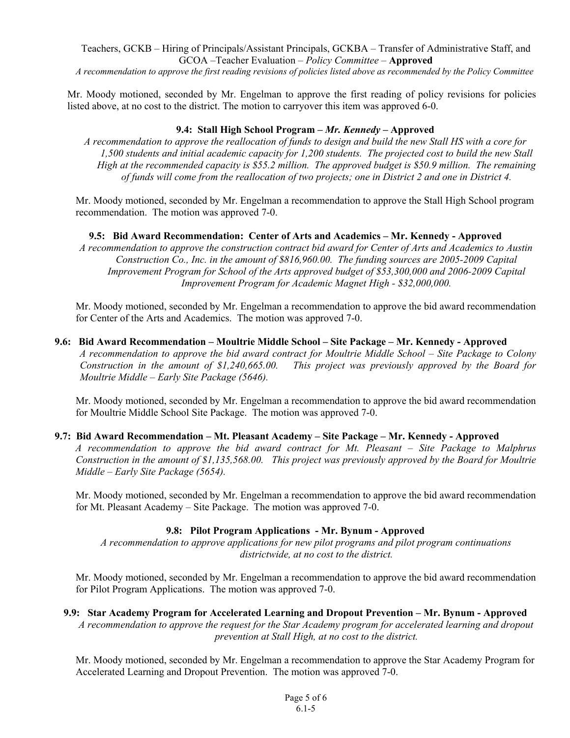Teachers, GCKB – Hiring of Principals/Assistant Principals, GCKBA – Transfer of Administrative Staff, and GCOA –Teacher Evaluation – *Policy Committee –* **Approved** 

*A recommendation to approve the first reading revisions of policies listed above as recommended by the Policy Committee* 

Mr. Moody motioned, seconded by Mr. Engelman to approve the first reading of policy revisions for policies listed above, at no cost to the district. The motion to carryover this item was approved 6-0.

#### **9.4: Stall High School Program –** *Mr. Kennedy –* **Approved**

*A recommendation to approve the reallocation of funds to design and build the new Stall HS with a core for 1,500 students and initial academic capacity for 1,200 students. The projected cost to build the new Stall High at the recommended capacity is \$55.2 million. The approved budget is \$50.9 million. The remaining of funds will come from the reallocation of two projects; one in District 2 and one in District 4.* 

Mr. Moody motioned, seconded by Mr. Engelman a recommendation to approve the Stall High School program recommendation. The motion was approved 7-0.

**9.5: Bid Award Recommendation: Center of Arts and Academics – Mr. Kennedy - Approved**  *A recommendation to approve the construction contract bid award for Center of Arts and Academics to Austin Construction Co., Inc. in the amount of \$816,960.00. The funding sources are 2005-2009 Capital Improvement Program for School of the Arts approved budget of \$53,300,000 and 2006-2009 Capital Improvement Program for Academic Magnet High - \$32,000,000.* 

Mr. Moody motioned, seconded by Mr. Engelman a recommendation to approve the bid award recommendation for Center of the Arts and Academics. The motion was approved 7-0.

**9.6: Bid Award Recommendation – Moultrie Middle School – Site Package – Mr. Kennedy - Approved**  *A recommendation to approve the bid award contract for Moultrie Middle School – Site Package to Colony Construction in the amount of \$1,240,665.00. This project was previously approved by the Board for Moultrie Middle – Early Site Package (5646).* 

Mr. Moody motioned, seconded by Mr. Engelman a recommendation to approve the bid award recommendation for Moultrie Middle School Site Package. The motion was approved 7-0.

#### **9.7: Bid Award Recommendation – Mt. Pleasant Academy – Site Package – Mr. Kennedy - Approved**

*A recommendation to approve the bid award contract for Mt. Pleasant – Site Package to Malphrus Construction in the amount of \$1,135,568.00. This project was previously approved by the Board for Moultrie Middle – Early Site Package (5654).* 

Mr. Moody motioned, seconded by Mr. Engelman a recommendation to approve the bid award recommendation for Mt. Pleasant Academy – Site Package. The motion was approved 7-0.

## **9.8: Pilot Program Applications - Mr. Bynum - Approved**

*A recommendation to approve applications for new pilot programs and pilot program continuations districtwide, at no cost to the district.* 

Mr. Moody motioned, seconded by Mr. Engelman a recommendation to approve the bid award recommendation for Pilot Program Applications. The motion was approved 7-0.

#### **9.9: Star Academy Program for Accelerated Learning and Dropout Prevention – Mr. Bynum - Approved**

*A recommendation to approve the request for the Star Academy program for accelerated learning and dropout prevention at Stall High, at no cost to the district.* 

Mr. Moody motioned, seconded by Mr. Engelman a recommendation to approve the Star Academy Program for Accelerated Learning and Dropout Prevention. The motion was approved 7-0.